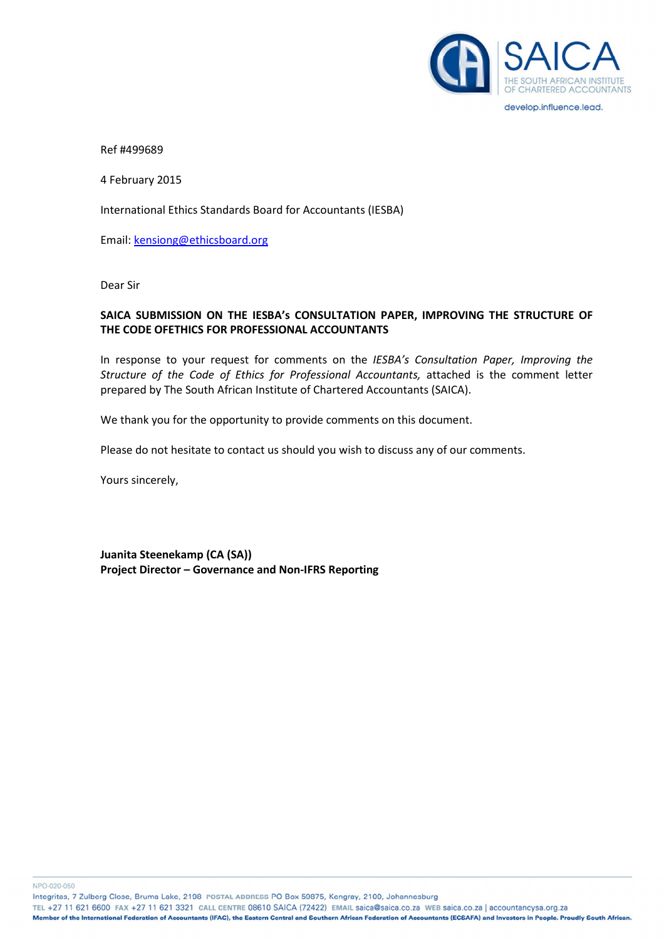

Ref #499689

4 February 2015

International Ethics Standards Board for Accountants (IESBA)

Email: kensiong@ethicsboard.org

Dear Sir

## SAICA SUBMISSION ON THE IESBA's CONSULTATION PAPER, IMPROVING THE STRUCTURE OF THE CODE OFETHICS FOR PROFESSIONAL ACCOUNTANTS

In response to your request for comments on the IESBA's Consultation Paper, Improving the Structure of the Code of Ethics for Professional Accountants, attached is the comment letter prepared by The South African Institute of Chartered Accountants (SAICA).

We thank you for the opportunity to provide comments on this document.

Please do not hesitate to contact us should you wish to discuss any of our comments.

Yours sincerely,

Juanita Steenekamp (CA (SA)) Project Director – Governance and Non-IFRS Reporting

NPO-020-050

Integritas, 7 Zulberg Close, Bruma Lake, 2198 POSTAL ADDRESS PO Box 59875, Kengray, 2100, Johannesburg

TEL +27 11 621 6600 FAX +27 11 621 3321 CALL CENTRE 08610 SAICA (72422) EMAIL saica@saica.co.za WEB saica.co.za | accountancysa.org.za

Member of the International Federation of Accountants (IFAC), the Eastern Central and Southern African Federation of Accountants (ECSAFA) and Investors in People. Proudly South African.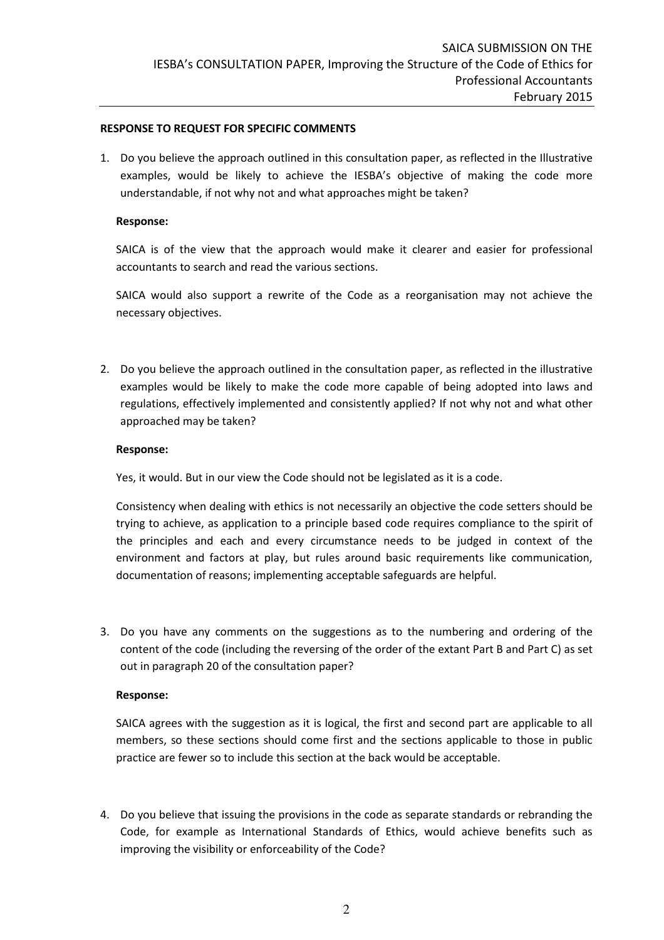#### RESPONSE TO REQUEST FOR SPECIFIC COMMENTS

1. Do you believe the approach outlined in this consultation paper, as reflected in the Illustrative examples, would be likely to achieve the IESBA's objective of making the code more understandable, if not why not and what approaches might be taken?

#### Response:

SAICA is of the view that the approach would make it clearer and easier for professional accountants to search and read the various sections.

SAICA would also support a rewrite of the Code as a reorganisation may not achieve the necessary objectives.

2. Do you believe the approach outlined in the consultation paper, as reflected in the illustrative examples would be likely to make the code more capable of being adopted into laws and regulations, effectively implemented and consistently applied? If not why not and what other approached may be taken?

#### Response:

Yes, it would. But in our view the Code should not be legislated as it is a code.

Consistency when dealing with ethics is not necessarily an objective the code setters should be trying to achieve, as application to a principle based code requires compliance to the spirit of the principles and each and every circumstance needs to be judged in context of the environment and factors at play, but rules around basic requirements like communication, documentation of reasons; implementing acceptable safeguards are helpful.

3. Do you have any comments on the suggestions as to the numbering and ordering of the content of the code (including the reversing of the order of the extant Part B and Part C) as set out in paragraph 20 of the consultation paper?

### Response:

SAICA agrees with the suggestion as it is logical, the first and second part are applicable to all members, so these sections should come first and the sections applicable to those in public practice are fewer so to include this section at the back would be acceptable.

4. Do you believe that issuing the provisions in the code as separate standards or rebranding the Code, for example as International Standards of Ethics, would achieve benefits such as improving the visibility or enforceability of the Code?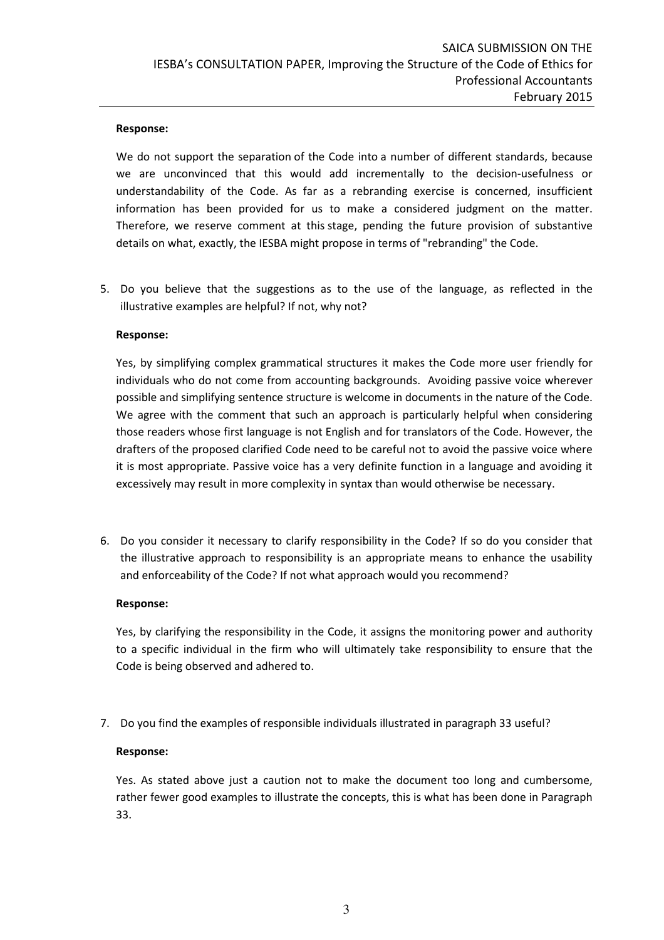### Response:

We do not support the separation of the Code into a number of different standards, because we are unconvinced that this would add incrementally to the decision-usefulness or understandability of the Code. As far as a rebranding exercise is concerned, insufficient information has been provided for us to make a considered judgment on the matter. Therefore, we reserve comment at this stage, pending the future provision of substantive details on what, exactly, the IESBA might propose in terms of "rebranding" the Code.

5. Do you believe that the suggestions as to the use of the language, as reflected in the illustrative examples are helpful? If not, why not?

## Response:

Yes, by simplifying complex grammatical structures it makes the Code more user friendly for individuals who do not come from accounting backgrounds. Avoiding passive voice wherever possible and simplifying sentence structure is welcome in documents in the nature of the Code. We agree with the comment that such an approach is particularly helpful when considering those readers whose first language is not English and for translators of the Code. However, the drafters of the proposed clarified Code need to be careful not to avoid the passive voice where it is most appropriate. Passive voice has a very definite function in a language and avoiding it excessively may result in more complexity in syntax than would otherwise be necessary.

6. Do you consider it necessary to clarify responsibility in the Code? If so do you consider that the illustrative approach to responsibility is an appropriate means to enhance the usability and enforceability of the Code? If not what approach would you recommend?

### Response:

Yes, by clarifying the responsibility in the Code, it assigns the monitoring power and authority to a specific individual in the firm who will ultimately take responsibility to ensure that the Code is being observed and adhered to.

7. Do you find the examples of responsible individuals illustrated in paragraph 33 useful?

# Response:

Yes. As stated above just a caution not to make the document too long and cumbersome, rather fewer good examples to illustrate the concepts, this is what has been done in Paragraph 33.